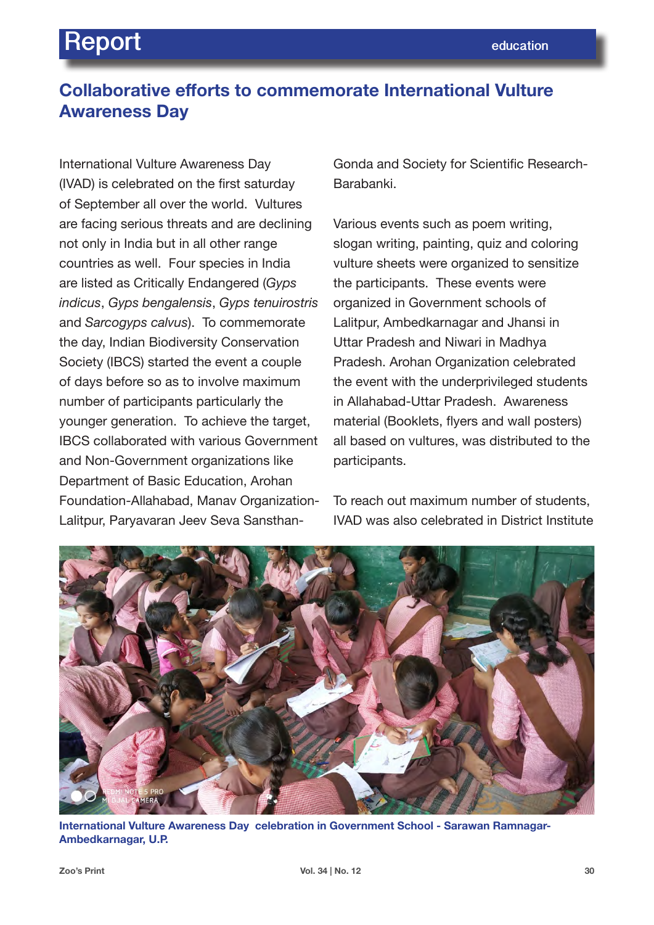## **Collaborative efforts to commemorate International Vulture Awareness Day**

International Vulture Awareness Day (IVAD) is celebrated on the first saturday of September all over the world. Vultures are facing serious threats and are declining not only in India but in all other range countries as well. Four species in India are listed as Critically Endangered (*Gyps indicus*, *Gyps bengalensis*, *Gyps tenuirostris*  and *Sarcogyps calvus*). To commemorate the day, Indian Biodiversity Conservation Society (IBCS) started the event a couple of days before so as to involve maximum number of participants particularly the younger generation. To achieve the target, IBCS collaborated with various Government and Non-Government organizations like Department of Basic Education, Arohan Foundation-Allahabad, Manav Organization-Lalitpur, Paryavaran Jeev Seva SansthanGonda and Society for Scientific Research-Barabanki.

Various events such as poem writing, slogan writing, painting, quiz and coloring vulture sheets were organized to sensitize the participants. These events were organized in Government schools of Lalitpur, Ambedkarnagar and Jhansi in Uttar Pradesh and Niwari in Madhya Pradesh. Arohan Organization celebrated the event with the underprivileged students in Allahabad-Uttar Pradesh. Awareness material (Booklets, flyers and wall posters) all based on vultures, was distributed to the participants.

To reach out maximum number of students, IVAD was also celebrated in District Institute



**International Vulture Awareness Day celebration in Government School - Sarawan Ramnagar-Ambedkarnagar, U.P.**